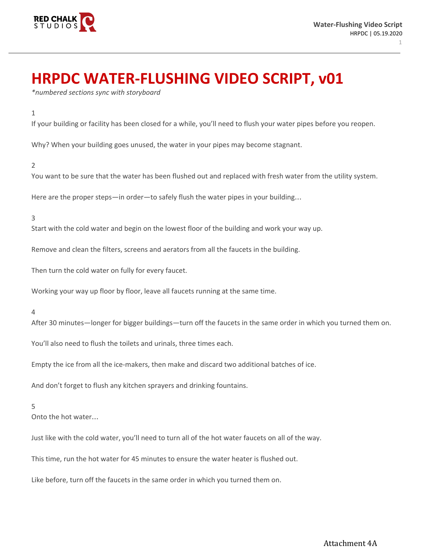

1

# **HRPDC WATER-FLUSHING VIDEO SCRIPT, v01**

*\*numbered sections sync with storyboard*

## 1

If your building or facility has been closed for a while, you'll need to flush your water pipes before you reopen.

Why? When your building goes unused, the water in your pipes may become stagnant.

### 2

You want to be sure that the water has been flushed out and replaced with fresh water from the utility system.

Here are the proper steps—in order—to safely flush the water pipes in your building…

# 3

Start with the cold water and begin on the lowest floor of the building and work your way up.

Remove and clean the filters, screens and aerators from all the faucets in the building.

Then turn the cold water on fully for every faucet.

Working your way up floor by floor, leave all faucets running at the same time.

#### 4

After 30 minutes—longer for bigger buildings—turn off the faucets in the same order in which you turned them on.

You'll also need to flush the toilets and urinals, three times each.

Empty the ice from all the ice-makers, then make and discard two additional batches of ice.

And don't forget to flush any kitchen sprayers and drinking fountains.

### 5

Onto the hot water…

Just like with the cold water, you'll need to turn all of the hot water faucets on all of the way.

This time, run the hot water for 45 minutes to ensure the water heater is flushed out.

Like before, turn off the faucets in the same order in which you turned them on.